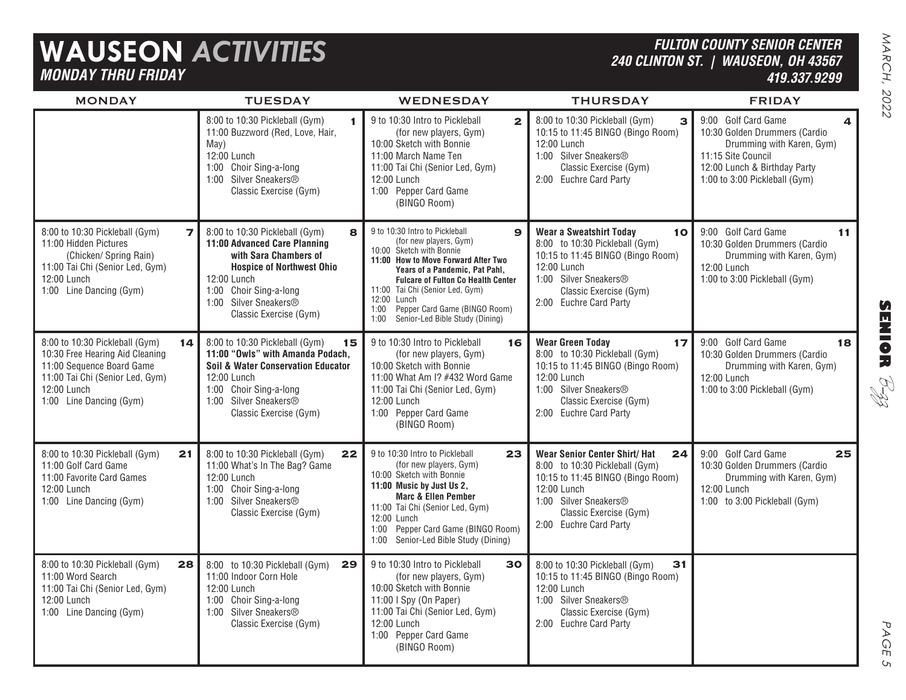## **WAUSEON** *ACTIVITIES MONDAY THRU FRIDAY*

### *FULTON COUNTY SENIOR CENTER 240 CLINTON ST. | WAUSEON, OH 43567 419.337.9299*

PAGE 5

 $\mathsf{C}_{\mathsf{L}}$ 

| <b>MONDAY</b>                                                                                                                                                                     | <b>TUESDAY</b>                                                                                                                                                                                                               | <b>WEDNESDAY</b>                                                                                                                                                                                                                                                                                                                                                 | <b>THURSDAY</b>                                                                                                                                                                                               | <b>FRIDAY</b>                                                                                                                                                            |
|-----------------------------------------------------------------------------------------------------------------------------------------------------------------------------------|------------------------------------------------------------------------------------------------------------------------------------------------------------------------------------------------------------------------------|------------------------------------------------------------------------------------------------------------------------------------------------------------------------------------------------------------------------------------------------------------------------------------------------------------------------------------------------------------------|---------------------------------------------------------------------------------------------------------------------------------------------------------------------------------------------------------------|--------------------------------------------------------------------------------------------------------------------------------------------------------------------------|
|                                                                                                                                                                                   | 8:00 to 10:30 Pickleball (Gym)<br>11:00 Buzzword (Red, Love, Hair,<br>May)<br>12:00 Lunch<br>1:00 Choir Sing-a-long<br>1:00 Silver Sneakers®<br>Classic Exercise (Gym)                                                       | 9 to 10:30 Intro to Pickleball<br>$\mathbf{2}$<br>(for new players, Gym)<br>10:00 Sketch with Bonnie<br>11:00 March Name Ten<br>11:00 Tai Chi (Senior Led, Gym)<br>12:00 Lunch<br>1:00 Pepper Card Game<br>(BINGO Room)                                                                                                                                          | 8:00 to 10:30 Pickleball (Gym)<br>$\mathbf{B}$<br>10:15 to 11:45 BINGO (Bingo Room)<br>12:00 Lunch<br>1:00 Silver Sneakers®<br>Classic Exercise (Gym)<br>2:00 Euchre Card Party                               | 9:00 Golf Card Game<br>10:30 Golden Drummers (Cardio<br>Drumming with Karen, Gym)<br>11:15 Site Council<br>12:00 Lunch & Birthday Party<br>1:00 to 3:00 Pickleball (Gym) |
| $\overline{z}$<br>8:00 to 10:30 Pickleball (Gym)<br>11:00 Hidden Pictures<br>(Chicken/ Spring Rain)<br>11:00 Tai Chi (Senior Led, Gym)<br>12:00 Lunch<br>1:00 Line Dancing (Gym)  | 8:00 to 10:30 Pickleball (Gym)<br>я<br>11:00 Advanced Care Planning<br>with Sara Chambers of<br><b>Hospice of Northwest Ohio</b><br>12:00 Lunch<br>1:00 Choir Sing-a-long<br>1:00 Silver Sneakers®<br>Classic Exercise (Gym) | 9 to 10:30 Intro to Pickleball<br>$\mathbf{9}$<br>(for new players, Gym)<br>10:00 Sketch with Bonnie<br>11:00 How to Move Forward After Two<br>Years of a Pandemic, Pat Pahl,<br><b>Fulcare of Fulton Co Health Center</b><br>11:00 Tai Chi (Senior Led, Gym)<br>12:00 Lunch<br>Pepper Card Game (BINGO Room)<br>1:00<br>Senior-Led Bible Study (Dining)<br>1:00 | <b>Wear a Sweatshirt Today</b><br>10<br>8:00 to 10:30 Pickleball (Gym)<br>10:15 to 11:45 BINGO (Bingo Room)<br>12:00 Lunch<br>1:00 Silver Sneakers®<br>Classic Exercise (Gym)<br>2:00 Euchre Card Party       | 9:00 Golf Card Game<br>11<br>10:30 Golden Drummers (Cardio<br>Drumming with Karen, Gym)<br>12:00 Lunch<br>1:00 to 3:00 Pickleball (Gym)                                  |
| 8:00 to 10:30 Pickleball (Gym)<br>14<br>10:30 Free Hearing Aid Cleaning<br>11:00 Sequence Board Game<br>11:00 Tai Chi (Senior Led, Gym)<br>12:00 Lunch<br>1:00 Line Dancing (Gym) | 8:00 to 10:30 Pickleball (Gym)<br>15<br>11:00 "Owls" with Amanda Podach.<br>Soil & Water Conservation Educator<br>12:00 Lunch<br>1:00 Choir Sing-a-long<br>1:00 Silver Sneakers®<br>Classic Exercise (Gym)                   | 9 to 10:30 Intro to Pickleball<br>16<br>(for new players, Gym)<br>10:00 Sketch with Bonnie<br>11:00 What Am I? #432 Word Game<br>11:00 Tai Chi (Senior Led, Gym)<br>12:00 Lunch<br>1:00 Pepper Card Game<br>(BINGO Room)                                                                                                                                         | <b>Wear Green Today</b><br>17<br>8:00 to 10:30 Pickleball (Gym)<br>10:15 to 11:45 BINGO (Bingo Room)<br>12:00 Lunch<br>1:00 Silver Sneakers®<br>Classic Exercise (Gym)<br>2:00 Euchre Card Party              | 9:00 Golf Card Game<br>18<br>10:30 Golden Drummers (Cardio<br>Drumming with Karen, Gym)<br>12:00 Lunch<br>1:00 to 3:00 Pickleball (Gym)                                  |
| 8:00 to 10:30 Pickleball (Gym)<br>21<br>11:00 Golf Card Game<br>11:00 Favorite Card Games<br>12:00 Lunch<br>1:00 Line Dancing (Gym)                                               | 8:00 to 10:30 Pickleball (Gym)<br>22<br>11:00 What's In The Bag? Game<br>12:00 Lunch<br>1:00 Choir Sing-a-long<br>1:00 Silver Sneakers®<br>Classic Exercise (Gym)                                                            | 9 to 10:30 Intro to Pickleball<br>23<br>(for new players, Gym)<br>10:00 Sketch with Bonnie<br>11:00 Music by Just Us 2,<br><b>Marc &amp; Ellen Pember</b><br>11:00 Tai Chi (Senior Led, Gym)<br>12:00 Lunch<br>1:00 Pepper Card Game (BINGO Room)<br>1:00 Senior-Led Bible Study (Dining)                                                                        | <b>Wear Senior Center Shirt/ Hat</b><br>24<br>8:00 to 10:30 Pickleball (Gym)<br>10:15 to 11:45 BINGO (Bingo Room)<br>12:00 Lunch<br>1:00 Silver Sneakers®<br>Classic Exercise (Gym)<br>2:00 Euchre Card Party | 25<br>9:00 Golf Card Game<br>10:30 Golden Drummers (Cardio<br>Drumming with Karen, Gym)<br>12:00 Lunch<br>1:00 to 3:00 Pickleball (Gym)                                  |
| 8:00 to 10:30 Pickleball (Gym)<br>28<br>11:00 Word Search<br>11:00 Tai Chi (Senior Led, Gym)<br>12:00 Lunch<br>1:00 Line Dancing (Gym)                                            | 8:00 to 10:30 Pickleball (Gym)<br>29<br>11:00 Indoor Corn Hole<br>12:00 Lunch<br>1:00 Choir Sing-a-long<br>1:00 Silver Sneakers®<br>Classic Exercise (Gym)                                                                   | 9 to 10:30 Intro to Pickleball<br>30<br>(for new players, Gym)<br>10:00 Sketch with Bonnie<br>11:00   Spy (On Paper)<br>11:00 Tai Chi (Senior Led, Gym)<br>12:00 Lunch<br>1:00 Pepper Card Game<br>(BINGO Room)                                                                                                                                                  | 31<br>8:00 to 10:30 Pickleball (Gym)<br>10:15 to 11:45 BINGO (Bingo Room)<br>12:00 Lunch<br>1:00 Silver Sneakers®<br>Classic Exercise (Gym)<br>2:00 Euchre Card Party                                         |                                                                                                                                                                          |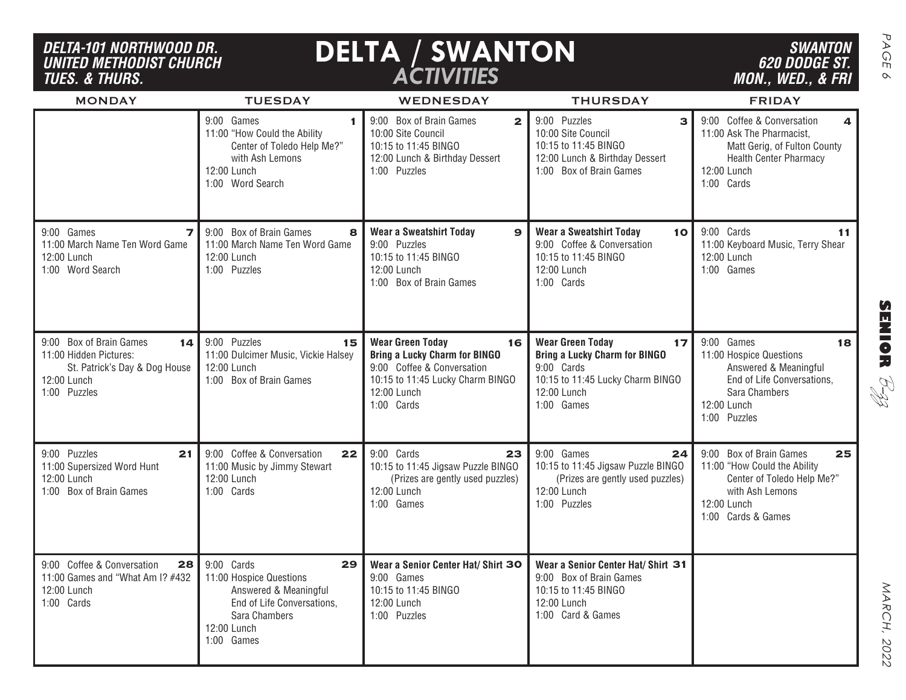#### *DELTA-101 NORTHWOOD DR. UNITED METHODIST CHURCHTUES. & THURS.*

9:00 Games

12:00 Lunch 1:00 Word Search

12:00 Lunch 1:00 Puzzles

11:00 "How Could the Ability

with Ash Lemons

9:00 Box of Brain Games

11:00 March Name Ten Word Game

Center of Toledo Help Me?"

MONDAY

11:00 March Name Ten Word Game

9:00 Games

12:00 Lunch 1:00 Word Search

## **DELTA / SWANTON** *ACTIVITIES*

9:00 Box of Brain Games 10:00 Site Council 10:15 to 11:45 BINGO

**Wear a Sweatshirt Today**

1:00 Puzzles

9:00 Puzzles 10:15 to 11:45 BINGO

12:00 Lunch

12:00 Lunch & Birthday Dessert

**1**

Matt Gerig, of Fulton County Health Center Pharmacy

11:00 Keyboard Music, Terry Shear

11:00 Ask The Pharmacist,

12:00 Lunch 1:00 Cards

9:00 Cards

12:00 Lunch 1:00 Games

**1 9**:00 Box of Brain Games **2 1** 9:00 Puzzles **3 3** 9:00 Coffee & Conversation **4** 

9:00 Coffee & Conversation 10:15 to 11:45 BINGO

12:00 Lunch & Birthday Dessert 1:00 Box of Brain Games

12:00 Lunch

9:00 Puzzles 10:00 Site Council 10:15 to 11:45 BINGO

SENIOR  $\beta$ - $\beta$ zz R<br>HD

MARCH, 2022



**9** 9:00 Games **11 7** 9:00 Box of Brain Games **8** | Wear a Sweatshirt Today **9** | Wear a Sweatshirt Today 10 | 9:00 Cards 11 |

TUESDAY WEDNESDAY THURSDAY FRIDAY